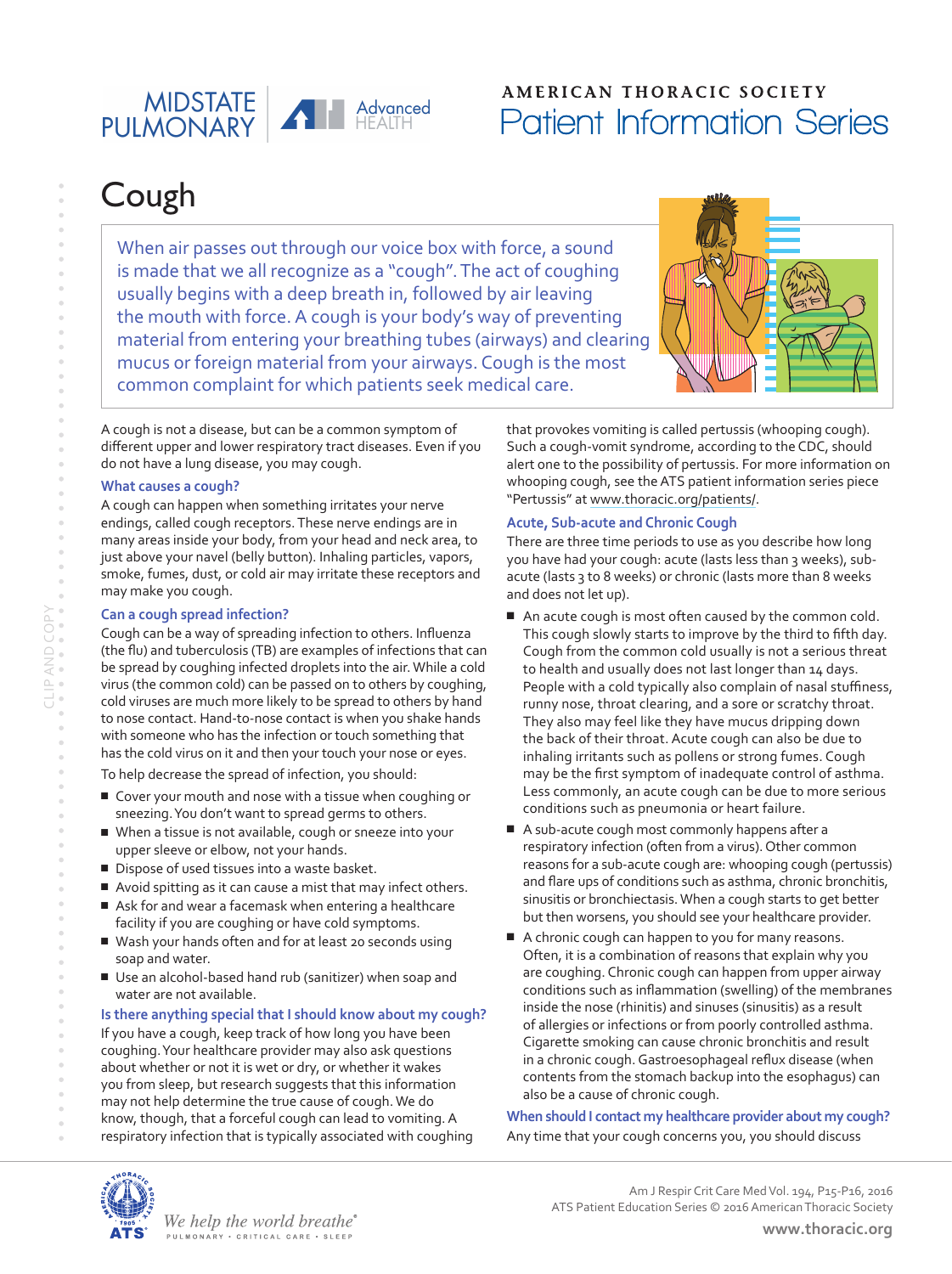### A Advanced MIDSTATE

### **AMERICAN THORACIC SOCIETY** Patient Information Series

# Cough

When air passes out through our voice box with force, a sound is made that we all recognize as a "cough". The act of coughing usually begins with a deep breath in, followed by air leaving the mouth with force. A cough is your body's way of preventing material from entering your breathing tubes (airways) and clearing mucus or foreign material from your airways. Cough is the most common complaint for which patients seek medical care.

A cough is not a disease, but can be a common symptom of different upper and lower respiratory tract diseases. Even if you do not have a lung disease, you may cough.

### **What causes a cough?**

A cough can happen when something irritates your nerve endings, called cough receptors. These nerve endings are in many areas inside your body, from your head and neck area, to just above your navel (belly button). Inhaling particles, vapors, smoke, fumes, dust, or cold air may irritate these receptors and may make you cough.

### **Can a cough spread infection?**

Cough can be a way of spreading infection to others. Influenza (the flu) and tuberculosis (TB) are examples of infections that can be spread by coughing infected droplets into the air. While a cold virus (the common cold) can be passed on to others by coughing, cold viruses are much more likely to be spread to others by hand to nose contact. Hand-to-nose contact is when you shake hands with someone who has the infection or touch something that has the cold virus on it and then your touch your nose or eyes.

To help decrease the spread of infection, you should:

- Cover your mouth and nose with a tissue when coughing or sneezing. You don't want to spread germs to others.
- When a tissue is not available, cough or sneeze into your upper sleeve or elbow, not your hands.
- Dispose of used tissues into a waste basket.
- Avoid spitting as it can cause a mist that may infect others.
- Ask for and wear a facemask when entering a healthcare facility if you are coughing or have cold symptoms.
- Wash your hands often and for at least 20 seconds using soap and water.
- Use an alcohol-based hand rub (sanitizer) when soap and water are not available.

### **Is there anything special that I should know about my cough?**

If you have a cough, keep track of how long you have been coughing. Your healthcare provider may also ask questions about whether or not it is wet or dry, or whether it wakes you from sleep, but research suggests that this information may not help determine the true cause of cough. We do know, though, that a forceful cough can lead to vomiting. A respiratory infection that is typically associated with coughing



that provokes vomiting is called pertussis (whooping cough). Such a cough-vomit syndrome, according to the CDC, should alert one to the possibility of pertussis. For more information on whooping cough, see the ATS patient information series piece "Pertussis" at [www.thoracic.org/patients/.](http://www.thoracic.org/patients/)

### **Acute, Sub-acute and Chronic Cough**

There are three time periods to use as you describe how long you have had your cough: acute (lasts less than 3 weeks), subacute (lasts 3 to 8 weeks) or chronic (lasts more than 8 weeks and does not let up).

- An acute cough is most often caused by the common cold. This cough slowly starts to improve by the third to fifth day. Cough from the common cold usually is not a serious threat to health and usually does not last longer than 14 days. People with a cold typically also complain of nasal stuffiness, runny nose, throat clearing, and a sore or scratchy throat. They also may feel like they have mucus dripping down the back of their throat. Acute cough can also be due to inhaling irritants such as pollens or strong fumes. Cough may be the first symptom of inadequate control of asthma. Less commonly, an acute cough can be due to more serious conditions such as pneumonia or heart failure.
- A sub-acute cough most commonly happens after a respiratory infection (often from a virus). Other common reasons for a sub-acute cough are: whooping cough (pertussis) and flare ups of conditions such as asthma, chronic bronchitis, sinusitis or bronchiectasis. When a cough starts to get better but then worsens, you should see your healthcare provider.
- A chronic cough can happen to you for many reasons. Often, it is a combination of reasons that explain why you are coughing. Chronic cough can happen from upper airway conditions such as inflammation (swelling) of the membranes inside the nose (rhinitis) and sinuses (sinusitis) as a result of allergies or infections or from poorly controlled asthma. Cigarette smoking can cause chronic bronchitis and result in a chronic cough. Gastroesophageal reflux disease (when contents from the stomach backup into the esophagus) can also be a cause of chronic cough.

**When should I contact my healthcare provider about my cough?** Any time that your cough concerns you, you should discuss